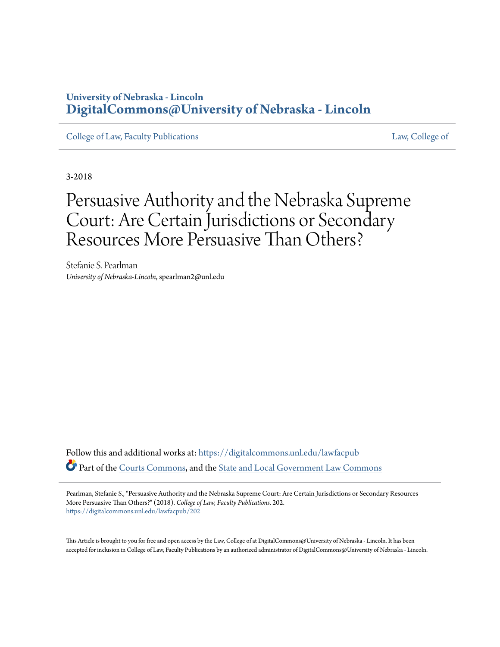### **University of Nebraska - Lincoln [DigitalCommons@University of Nebraska - Lincoln](https://digitalcommons.unl.edu?utm_source=digitalcommons.unl.edu%2Flawfacpub%2F202&utm_medium=PDF&utm_campaign=PDFCoverPages)**

[College of Law, Faculty Publications](https://digitalcommons.unl.edu/lawfacpub?utm_source=digitalcommons.unl.edu%2Flawfacpub%2F202&utm_medium=PDF&utm_campaign=PDFCoverPages) [Law, College of](https://digitalcommons.unl.edu/law?utm_source=digitalcommons.unl.edu%2Flawfacpub%2F202&utm_medium=PDF&utm_campaign=PDFCoverPages) Law, College of

3-2018

## Persuasive Authority and the Nebraska Supreme Court: Are Certain Jurisdictions or Secondary Resources More Persuasive Than Others?

Stefanie S. Pearlman *University of Nebraska-Lincoln*, spearlman2@unl.edu

Follow this and additional works at: [https://digitalcommons.unl.edu/lawfacpub](https://digitalcommons.unl.edu/lawfacpub?utm_source=digitalcommons.unl.edu%2Flawfacpub%2F202&utm_medium=PDF&utm_campaign=PDFCoverPages) Part of the [Courts Commons](http://network.bepress.com/hgg/discipline/839?utm_source=digitalcommons.unl.edu%2Flawfacpub%2F202&utm_medium=PDF&utm_campaign=PDFCoverPages), and the [State and Local Government Law Commons](http://network.bepress.com/hgg/discipline/879?utm_source=digitalcommons.unl.edu%2Flawfacpub%2F202&utm_medium=PDF&utm_campaign=PDFCoverPages)

Pearlman, Stefanie S., "Persuasive Authority and the Nebraska Supreme Court: Are Certain Jurisdictions or Secondary Resources More Persuasive Than Others?" (2018). *College of Law, Faculty Publications*. 202. [https://digitalcommons.unl.edu/lawfacpub/202](https://digitalcommons.unl.edu/lawfacpub/202?utm_source=digitalcommons.unl.edu%2Flawfacpub%2F202&utm_medium=PDF&utm_campaign=PDFCoverPages)

This Article is brought to you for free and open access by the Law, College of at DigitalCommons@University of Nebraska - Lincoln. It has been accepted for inclusion in College of Law, Faculty Publications by an authorized administrator of DigitalCommons@University of Nebraska - Lincoln.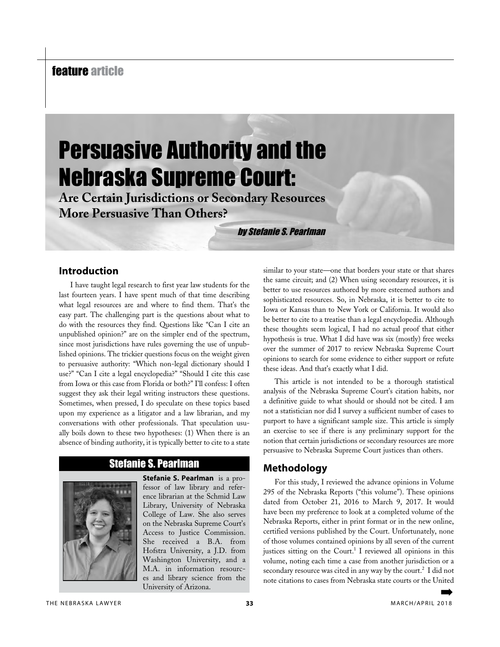## feature article

# Persuasive Authority and the Nebraska Supreme Court:

**Are Certain Jurisdictions or Secondary Resources More Persuasive Than Others?**

by Stefanie S. Pearlman

#### **Introduction**

I have taught legal research to first year law students for the last fourteen years. I have spent much of that time describing what legal resources are and where to find them. That's the easy part. The challenging part is the questions about what to do with the resources they find. Questions like "Can I cite an unpublished opinion?" are on the simpler end of the spectrum, since most jurisdictions have rules governing the use of unpublished opinions. The trickier questions focus on the weight given to persuasive authority: "Which non-legal dictionary should I use?" "Can I cite a legal encyclopedia?" "Should I cite this case from Iowa or this case from Florida or both?" I'll confess: I often suggest they ask their legal writing instructors these questions. Sometimes, when pressed, I do speculate on these topics based upon my experience as a litigator and a law librarian, and my conversations with other professionals. That speculation usually boils down to these two hypotheses: (1) When there is an absence of binding authority, it is typically better to cite to a state

#### Stefanie S. Pearlman



**Stefanie S. Pearlman** is a professor of law library and reference librarian at the Schmid Law Library, University of Nebraska College of Law. She also serves on the Nebraska Supreme Court's Access to Justice Commission. She received a B.A. from Hofstra University, a J.D. from Washington University, and a M.A. in information resources and library science from the University of Arizona.

similar to your state—one that borders your state or that shares the same circuit; and (2) When using secondary resources, it is better to use resources authored by more esteemed authors and sophisticated resources. So, in Nebraska, it is better to cite to Iowa or Kansas than to New York or California. It would also be better to cite to a treatise than a legal encyclopedia. Although these thoughts seem logical, I had no actual proof that either hypothesis is true. What I did have was six (mostly) free weeks over the summer of 2017 to review Nebraska Supreme Court opinions to search for some evidence to either support or refute these ideas. And that's exactly what I did.

This article is not intended to be a thorough statistical analysis of the Nebraska Supreme Court's citation habits, nor a definitive guide to what should or should not be cited. I am not a statistician nor did I survey a sufficient number of cases to purport to have a significant sample size. This article is simply an exercise to see if there is any preliminary support for the notion that certain jurisdictions or secondary resources are more persuasive to Nebraska Supreme Court justices than others.

#### **Methodology**

For this study, I reviewed the advance opinions in Volume 295 of the Nebraska Reports ("this volume"). These opinions dated from October 21, 2016 to March 9, 2017. It would have been my preference to look at a completed volume of the Nebraska Reports, either in print format or in the new online, certified versions published by the Court. Unfortunately, none of those volumes contained opinions by all seven of the current justices sitting on the Court.<sup>1</sup> I reviewed all opinions in this volume, noting each time a case from another jurisdiction or a secondary resource was cited in any way by the court.<sup>2</sup> I did not note citations to cases from Nebraska state courts or the United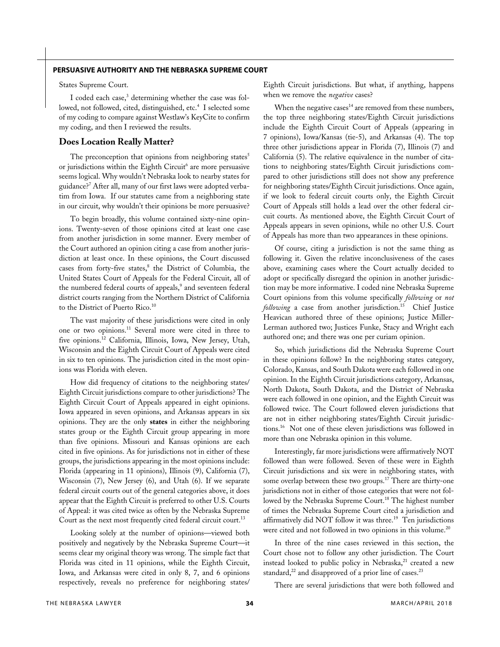States Supreme Court.

I coded each case,<sup>3</sup> determining whether the case was followed, not followed, cited, distinguished, etc.<sup>4</sup> I selected some of my coding to compare against Westlaw's KeyCite to confirm my coding, and then I reviewed the results.

#### **Does Location Really Matter?**

The preconception that opinions from neighboring states<sup>5</sup> or jurisdictions within the Eighth Circuit<sup>6</sup> are more persuasive seems logical. Why wouldn't Nebraska look to nearby states for guidance?7 After all, many of our first laws were adopted verbatim from Iowa. If our statutes came from a neighboring state in our circuit, why wouldn't their opinions be more persuasive?

To begin broadly, this volume contained sixty-nine opinions. Twenty-seven of those opinions cited at least one case from another jurisdiction in some manner. Every member of the Court authored an opinion citing a case from another jurisdiction at least once. In these opinions, the Court discussed cases from forty-five states,<sup>8</sup> the District of Columbia, the United States Court of Appeals for the Federal Circuit, all of the numbered federal courts of appeals,<sup>9</sup> and seventeen federal district courts ranging from the Northern District of California to the District of Puerto Rico.<sup>10</sup>

The vast majority of these jurisdictions were cited in only one or two opinions.11 Several more were cited in three to five opinions.12 California, Illinois, Iowa, New Jersey, Utah, Wisconsin and the Eighth Circuit Court of Appeals were cited in six to ten opinions. The jurisdiction cited in the most opinions was Florida with eleven.

How did frequency of citations to the neighboring states/ Eighth Circuit jurisdictions compare to other jurisdictions? The Eighth Circuit Court of Appeals appeared in eight opinions. Iowa appeared in seven opinions, and Arkansas appears in six opinions. They are the only **states** in either the neighboring states group or the Eighth Circuit group appearing in more than five opinions. Missouri and Kansas opinions are each cited in five opinions. As for jurisdictions not in either of these groups, the jurisdictions appearing in the most opinions include: Florida (appearing in 11 opinions), Illinois (9), California (7), Wisconsin (7), New Jersey (6), and Utah (6). If we separate federal circuit courts out of the general categories above, it does appear that the Eighth Circuit is preferred to other U.S. Courts of Appeal: it was cited twice as often by the Nebraska Supreme Court as the next most frequently cited federal circuit court.<sup>13</sup>

Looking solely at the number of opinions—viewed both positively and negatively by the Nebraska Supreme Court—it seems clear my original theory was wrong. The simple fact that Florida was cited in 11 opinions, while the Eighth Circuit, Iowa, and Arkansas were cited in only 8, 7, and 6 opinions respectively, reveals no preference for neighboring states/ Eighth Circuit jurisdictions. But what, if anything, happens when we remove the *negative* cases?

When the negative cases $^{14}$  are removed from these numbers, the top three neighboring states/Eighth Circuit jurisdictions include the Eighth Circuit Court of Appeals (appearing in 7 opinions), Iowa/Kansas (tie-5), and Arkansas (4). The top three other jurisdictions appear in Florida (7), Illinois (7) and California (5). The relative equivalence in the number of citations to neighboring states/Eighth Circuit jurisdictions compared to other jurisdictions still does not show any preference for neighboring states/Eighth Circuit jurisdictions. Once again, if we look to federal circuit courts only, the Eighth Circuit Court of Appeals still holds a lead over the other federal circuit courts. As mentioned above, the Eighth Circuit Court of Appeals appears in seven opinions, while no other U.S. Court of Appeals has more than two appearances in these opinions.

Of course, citing a jurisdiction is not the same thing as following it. Given the relative inconclusiveness of the cases above, examining cases where the Court actually decided to adopt or specifically disregard the opinion in another jurisdiction may be more informative. I coded nine Nebraska Supreme Court opinions from this volume specifically *following* or *not following* a case from another jurisdiction.15 Chief Justice Heavican authored three of these opinions; Justice Miller-Lerman authored two; Justices Funke, Stacy and Wright each authored one; and there was one per curiam opinion.

So, which jurisdictions did the Nebraska Supreme Court in these opinions follow? In the neighboring states category, Colorado, Kansas, and South Dakota were each followed in one opinion. In the Eighth Circuit jurisdictions category, Arkansas, North Dakota, South Dakota, and the District of Nebraska were each followed in one opinion, and the Eighth Circuit was followed twice. The Court followed eleven jurisdictions that are not in either neighboring states/Eighth Circuit jurisdictions.16 Not one of these eleven jurisdictions was followed in more than one Nebraska opinion in this volume.

Interestingly, far more jurisdictions were affirmatively NOT followed than were followed. Seven of these were in Eighth Circuit jurisdictions and six were in neighboring states, with some overlap between these two groups.<sup>17</sup> There are thirty-one jurisdictions not in either of those categories that were not followed by the Nebraska Supreme Court.<sup>18</sup> The highest number of times the Nebraska Supreme Court cited a jurisdiction and affirmatively did NOT follow it was three.<sup>19</sup> Ten jurisdictions were cited and not followed in two opinions in this volume.<sup>20</sup>

In three of the nine cases reviewed in this section, the Court chose not to follow any other jurisdiction. The Court instead looked to public policy in Nebraska, $21$  created a new standard, $^{22}$  and disapproved of a prior line of cases. $^{23}$ 

There are several jurisdictions that were both followed and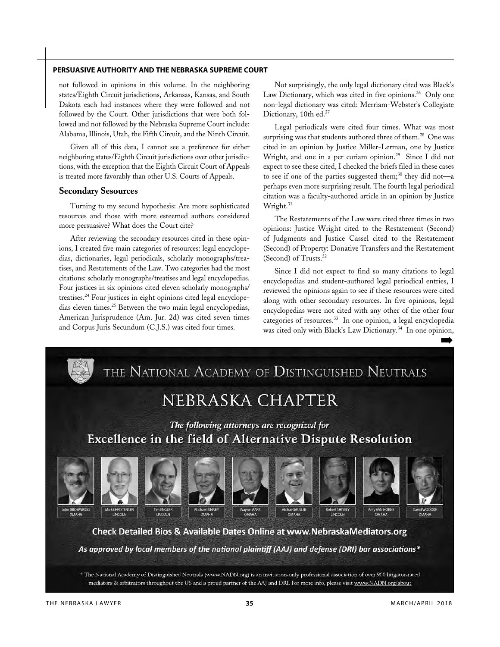not followed in opinions in this volume. In the neighboring states/Eighth Circuit jurisdictions, Arkansas, Kansas, and South Dakota each had instances where they were followed and not followed by the Court. Other jurisdictions that were both followed and not followed by the Nebraska Supreme Court include: Alabama, Illinois, Utah, the Fifth Circuit, and the Ninth Circuit.

Given all of this data, I cannot see a preference for either neighboring states/Eighth Circuit jurisdictions over other jurisdictions, with the exception that the Eighth Circuit Court of Appeals is treated more favorably than other U.S. Courts of Appeals.

#### **Secondary Sesources**

Turning to my second hypothesis: Are more sophisticated resources and those with more esteemed authors considered more persuasive? What does the Court cite?

After reviewing the secondary resources cited in these opinions, I created five main categories of resources: legal encyclopedias, dictionaries, legal periodicals, scholarly monographs/treatises, and Restatements of the Law. Two categories had the most citations: scholarly monographs/treatises and legal encyclopedias. Four justices in six opinions cited eleven scholarly monographs/ treatises.24 Four justices in eight opinions cited legal encyclopedias eleven times.25 Between the two main legal encyclopedias, American Jurisprudence (Am. Jur. 2d) was cited seven times and Corpus Juris Secundum (C.J.S.) was cited four times.

Not surprisingly, the only legal dictionary cited was Black's Law Dictionary, which was cited in five opinions.<sup>26</sup> Only one non-legal dictionary was cited: Merriam-Webster's Collegiate Dictionary, 10th ed.<sup>27</sup>

Legal periodicals were cited four times. What was most surprising was that students authored three of them.<sup>28</sup> One was cited in an opinion by Justice Miller-Lerman, one by Justice Wright, and one in a per curiam opinion.<sup>29</sup> Since I did not expect to see these cited, I checked the briefs filed in these cases to see if one of the parties suggested them;<sup>30</sup> they did not—a perhaps even more surprising result. The fourth legal periodical citation was a faculty-authored article in an opinion by Justice Wright.<sup>31</sup>

The Restatements of the Law were cited three times in two opinions: Justice Wright cited to the Restatement (Second) of Judgments and Justice Cassel cited to the Restatement (Second) of Property: Donative Transfers and the Restatement (Second) of Trusts.32

Since I did not expect to find so many citations to legal encyclopedias and student-authored legal periodical entries, I reviewed the opinions again to see if these resources were cited along with other secondary resources. In five opinions, legal encyclopedias were not cited with any other of the other four categories of resources.33 In one opinion, a legal encyclopedia was cited only with Black's Law Dictionary.<sup>34</sup> In one opinion,  $\rightarrow$ 

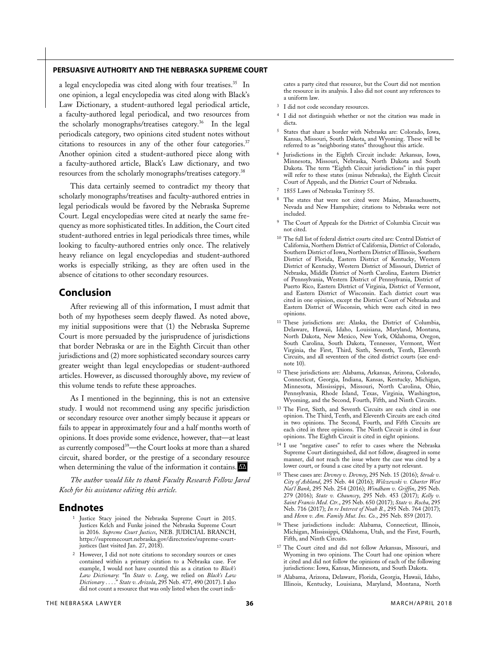a legal encyclopedia was cited along with four treatises.<sup>35</sup> In one opinion, a legal encyclopedia was cited along with Black's Law Dictionary, a student-authored legal periodical article, a faculty-authored legal periodical, and two resources from the scholarly monographs/treatises category.<sup>36</sup> In the legal periodicals category, two opinions cited student notes without citations to resources in any of the other four categories.<sup>37</sup> Another opinion cited a student-authored piece along with a faculty-authored article, Black's Law dictionary, and two resources from the scholarly monographs/treatises category.38

This data certainly seemed to contradict my theory that scholarly monographs/treatises and faculty-authored entries in legal periodicals would be favored by the Nebraska Supreme Court. Legal encyclopedias were cited at nearly the same frequency as more sophisticated titles. In addition, the Court cited student-authored entries in legal periodicals three times, while looking to faculty-authored entries only once. The relatively heavy reliance on legal encyclopedias and student-authored works is especially striking, as they are often used in the absence of citations to other secondary resources.

#### **Conclusion**

After reviewing all of this information, I must admit that both of my hypotheses seem deeply flawed. As noted above, my initial suppositions were that (1) the Nebraska Supreme Court is more persuaded by the jurisprudence of jurisdictions that border Nebraska or are in the Eighth Circuit than other jurisdictions and (2) more sophisticated secondary sources carry greater weight than legal encyclopedias or student-authored articles. However, as discussed thoroughly above, my review of this volume tends to refute these approaches.

As I mentioned in the beginning, this is not an extensive study. I would not recommend using any specific jurisdiction or secondary resource over another simply because it appears or fails to appear in approximately four and a half months worth of opinions. It does provide some evidence, however, that—at least as currently composed<sup>39</sup>—the Court looks at more than a shared circuit, shared border, or the prestige of a secondary resource when determining the value of the information it contains.  $\mathbf{M}$ 

*The author would like to thank Faculty Research Fellow Jared Koch for his assistance editing this article.* 

#### **Endnotes**

- <sup>1</sup> Justice Stacy joined the Nebraska Supreme Court in 2015. Justices Kelch and Funke joined the Nebraska Supreme Court in 2016. *Supreme Court Justices*, NEB. JUDICIAL BRANCH, https://supremecourt.nebraska.gov/directories/supreme-courtjustices (last visited Jan. 27, 2018).
- <sup>2</sup> However, I did not note citations to secondary sources or cases contained within a primary citation to a Nebraska case. For example, I would not have counted this as a citation to *Black's Law Dictionary*: "In *State v. Long*, we relied on *Black's Law Dictionary* . . . ." *State v. Arizola*, 295 Neb. 477, 490 (2017). I also did not count a resource that was only listed when the court indi-

cates a party cited that resource, but the Court did not mention the resource in its analysis. I also did not count any references to a uniform law.

- <sup>3</sup> I did not code secondary resources.
- <sup>4</sup> I did not distinguish whether or not the citation was made in dicta.
- <sup>5</sup> States that share a border with Nebraska are: Colorado, Iowa, Kansas, Missouri, South Dakota, and Wyoming. These will be referred to as "neighboring states" throughout this article.
- Jurisdictions in the Eighth Circuit include: Arkansas, Iowa, Minnesota, Missouri, Nebraska, North Dakota and South Dakota. The term "Eighth Circuit jurisdictions" in this paper will refer to these states (minus Nebraska), the Eighth Circuit Court of Appeals, and the District Court of Nebraska.
- <sup>7</sup> 1855 Laws of Nebraska Territory 55.
- The states that were not cited were Maine, Massachusetts, Nevada and New Hampshire; citations to Nebraska were not included.
- The Court of Appeals for the District of Columbia Circuit was not cited.
- <sup>10</sup> The full list of federal district courts cited are: Central District of California, Northern District of California, District of Colorado, Southern District of Iowa, Northern District of Illinois, Southern District of Florida, Eastern District of Kentucky, Western District of Kentucky, Western District of Missouri, District of Nebraska, Middle District of North Carolina, Eastern District of Pennsylvania, Western District of Pennsylvania, District of Puerto Rico, Eastern District of Virginia, District of Vermont, and Eastern District of Wisconsin. Each district court was cited in one opinion, except the District Court of Nebraska and Eastern District of Wisconsin, which were each cited in two opinions.
- <sup>11</sup> These jurisdictions are: Alaska, the District of Columbia, Delaware, Hawaii, Idaho, Louisiana, Maryland, Montana, North Dakota, New Mexico, New York, Oklahoma, Oregon, South Carolina, South Dakota, Tennessee, Vermont, West Virginia, the First, Third, Sixth, Seventh, Tenth, Eleventh Circuits, and all seventeen of the cited district courts (see endnote 10).
- <sup>12</sup> These jurisdictions are: Alabama, Arkansas, Arizona, Colorado, Connecticut, Georgia, Indiana, Kansas, Kentucky, Michigan, Minnesota, Mississippi, Missouri, North Carolina, Ohio, Pennsylvania, Rhode Island, Texas, Virginia, Washington, Wyoming, and the Second, Fourth, Fifth, and Ninth Circuits.
- <sup>13</sup> The First, Sixth, and Seventh Circuits are each cited in one opinion. The Third, Tenth, and Eleventh Circuits are each cited in two opinions. The Second, Fourth, and Fifth Circuits are each cited in three opinions. The Ninth Circuit is cited in four opinions. The Eighth Circuit is cited in eight opinions.
- <sup>14</sup> I use "negative cases" to refer to cases where the Nebraska Supreme Court distinguished, did not follow, disagreed in some manner, did not reach the issue where the case was cited by a lower court, or found a case cited by a party not relevant.
- <sup>15</sup> These cases are: *Devney v. Devney*, 295 Neb. 15 (2016); *Strode v. City of Ashland*, 295 Neb. 44 (2016); *Wilczewski v. Charter West Nat'l Bank*, 295 Neb. 254 (2016); *Windham v. Griffin*, 295 Neb. 279 (2016); *State v. Chauncey*, 295 Neb. 453 (2017); *Kelly v. Saint Francis Med. Ctr.*, 295 Neb. 650 (2017); *State v. Rocha*, 295 Neb. 716 (2017); *In re Interest of Noah B.*, 295 Neb. 764 (2017); and *Henn v. Am. Family Mut. Ins. Co.*, 295 Neb. 859 (2017).
- <sup>16</sup> These jurisdictions include: Alabama, Connecticut, Illinois, Michigan, Mississippi, Oklahoma, Utah, and the First, Fourth, Fifth, and Ninth Circuits.
- <sup>17</sup> The Court cited and did not follow Arkansas, Missouri, and Wyoming in two opinions. The Court had one opinion where it cited and did not follow the opinions of each of the following jurisdictions: Iowa, Kansas, Minnesota, and South Dakota.
- <sup>18</sup> Alabama, Arizona, Delaware, Florida, Georgia, Hawaii, Idaho, Illinois, Kentucky, Louisiana, Maryland, Montana, North